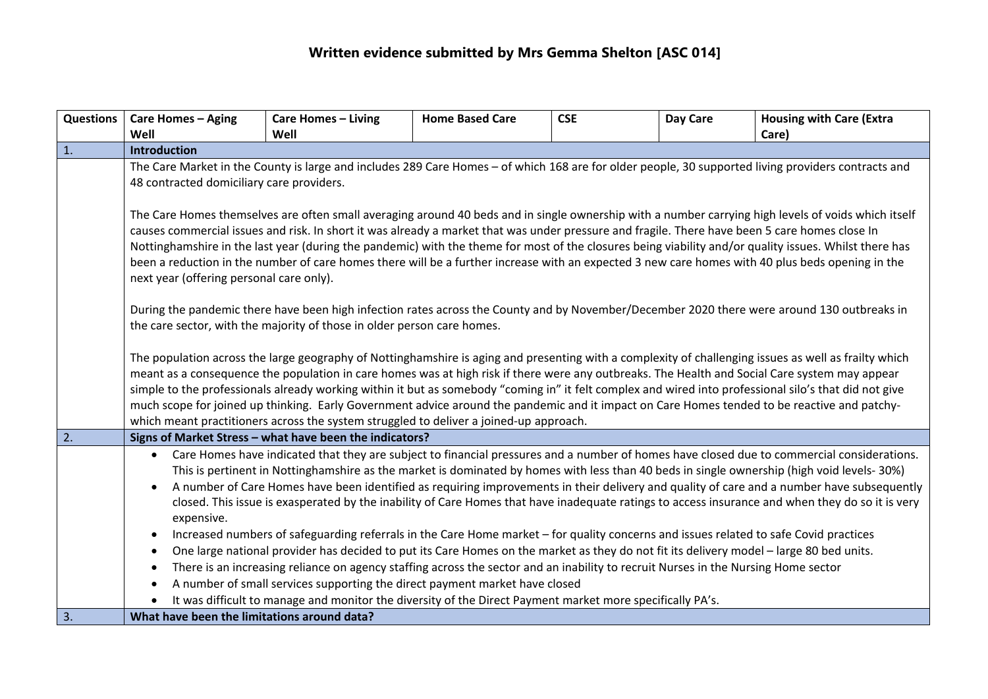| Questions | <b>Care Homes - Aging</b>                                                                                                                                                                                                                                                                                                                                                                                                                                                                                                                                                                                                                                                                                                                                                                                                                                                                                                            | <b>Care Homes - Living</b>                                                                                                         | <b>Home Based Care</b> | <b>CSE</b> | Day Care | <b>Housing with Care (Extra</b> |  |  |
|-----------|--------------------------------------------------------------------------------------------------------------------------------------------------------------------------------------------------------------------------------------------------------------------------------------------------------------------------------------------------------------------------------------------------------------------------------------------------------------------------------------------------------------------------------------------------------------------------------------------------------------------------------------------------------------------------------------------------------------------------------------------------------------------------------------------------------------------------------------------------------------------------------------------------------------------------------------|------------------------------------------------------------------------------------------------------------------------------------|------------------------|------------|----------|---------------------------------|--|--|
|           | Well                                                                                                                                                                                                                                                                                                                                                                                                                                                                                                                                                                                                                                                                                                                                                                                                                                                                                                                                 | Well                                                                                                                               |                        |            |          | Care)                           |  |  |
| 1.        | <b>Introduction</b><br>The Care Market in the County is large and includes 289 Care Homes - of which 168 are for older people, 30 supported living providers contracts and                                                                                                                                                                                                                                                                                                                                                                                                                                                                                                                                                                                                                                                                                                                                                           |                                                                                                                                    |                        |            |          |                                 |  |  |
|           |                                                                                                                                                                                                                                                                                                                                                                                                                                                                                                                                                                                                                                                                                                                                                                                                                                                                                                                                      |                                                                                                                                    |                        |            |          |                                 |  |  |
|           | 48 contracted domiciliary care providers.                                                                                                                                                                                                                                                                                                                                                                                                                                                                                                                                                                                                                                                                                                                                                                                                                                                                                            |                                                                                                                                    |                        |            |          |                                 |  |  |
|           | The Care Homes themselves are often small averaging around 40 beds and in single ownership with a number carrying high levels of voids which itself<br>causes commercial issues and risk. In short it was already a market that was under pressure and fragile. There have been 5 care homes close In<br>Nottinghamshire in the last year (during the pandemic) with the theme for most of the closures being viability and/or quality issues. Whilst there has<br>been a reduction in the number of care homes there will be a further increase with an expected 3 new care homes with 40 plus beds opening in the<br>next year (offering personal care only).                                                                                                                                                                                                                                                                      |                                                                                                                                    |                        |            |          |                                 |  |  |
|           | During the pandemic there have been high infection rates across the County and by November/December 2020 there were around 130 outbreaks in<br>the care sector, with the majority of those in older person care homes.                                                                                                                                                                                                                                                                                                                                                                                                                                                                                                                                                                                                                                                                                                               |                                                                                                                                    |                        |            |          |                                 |  |  |
|           | The population across the large geography of Nottinghamshire is aging and presenting with a complexity of challenging issues as well as frailty which<br>meant as a consequence the population in care homes was at high risk if there were any outbreaks. The Health and Social Care system may appear<br>simple to the professionals already working within it but as somebody "coming in" it felt complex and wired into professional silo's that did not give<br>much scope for joined up thinking. Early Government advice around the pandemic and it impact on Care Homes tended to be reactive and patchy-<br>which meant practitioners across the system struggled to deliver a joined-up approach.                                                                                                                                                                                                                          |                                                                                                                                    |                        |            |          |                                 |  |  |
| 2.        | Signs of Market Stress - what have been the indicators?                                                                                                                                                                                                                                                                                                                                                                                                                                                                                                                                                                                                                                                                                                                                                                                                                                                                              |                                                                                                                                    |                        |            |          |                                 |  |  |
|           | Care Homes have indicated that they are subject to financial pressures and a number of homes have closed due to commercial considerations.<br>$\bullet$<br>This is pertinent in Nottinghamshire as the market is dominated by homes with less than 40 beds in single ownership (high void levels- 30%)<br>A number of Care Homes have been identified as requiring improvements in their delivery and quality of care and a number have subsequently<br>$\bullet$<br>closed. This issue is exasperated by the inability of Care Homes that have inadequate ratings to access insurance and when they do so it is very<br>expensive.<br>Increased numbers of safeguarding referrals in the Care Home market - for quality concerns and issues related to safe Covid practices<br>$\bullet$<br>One large national provider has decided to put its Care Homes on the market as they do not fit its delivery model - large 80 bed units. |                                                                                                                                    |                        |            |          |                                 |  |  |
|           | $\bullet$                                                                                                                                                                                                                                                                                                                                                                                                                                                                                                                                                                                                                                                                                                                                                                                                                                                                                                                            |                                                                                                                                    |                        |            |          |                                 |  |  |
|           | $\bullet$                                                                                                                                                                                                                                                                                                                                                                                                                                                                                                                                                                                                                                                                                                                                                                                                                                                                                                                            | There is an increasing reliance on agency staffing across the sector and an inability to recruit Nurses in the Nursing Home sector |                        |            |          |                                 |  |  |
|           | $\bullet$                                                                                                                                                                                                                                                                                                                                                                                                                                                                                                                                                                                                                                                                                                                                                                                                                                                                                                                            | A number of small services supporting the direct payment market have closed                                                        |                        |            |          |                                 |  |  |
|           | It was difficult to manage and monitor the diversity of the Direct Payment market more specifically PA's.                                                                                                                                                                                                                                                                                                                                                                                                                                                                                                                                                                                                                                                                                                                                                                                                                            |                                                                                                                                    |                        |            |          |                                 |  |  |
| 3.        | What have been the limitations around data?                                                                                                                                                                                                                                                                                                                                                                                                                                                                                                                                                                                                                                                                                                                                                                                                                                                                                          |                                                                                                                                    |                        |            |          |                                 |  |  |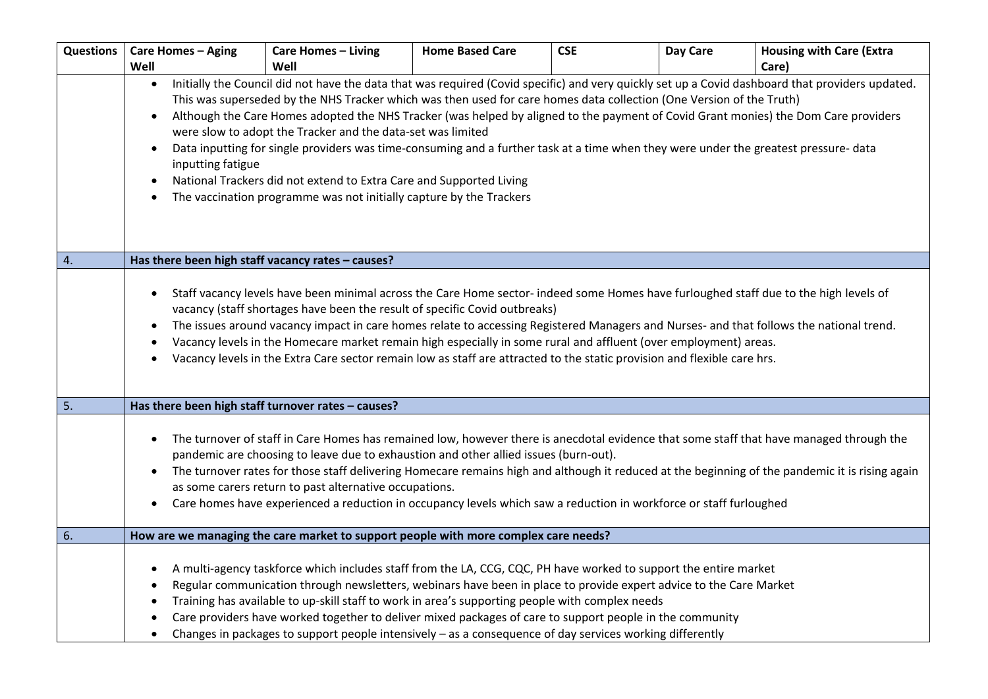| <b>Questions</b> | <b>Care Homes - Aging</b>                                                                                                                                                                                                                                                                                                                                                                                                                                                                                                                                                                                                                                                                                                                                                                                                                                  | <b>Care Homes - Living</b>                                                                                                                                                                                                                                                                                                                                                                                                                                                                                                                                          | <b>Home Based Care</b> | <b>CSE</b> | Day Care | <b>Housing with Care (Extra</b>                                                                                                                                                                                                                                                            |  |
|------------------|------------------------------------------------------------------------------------------------------------------------------------------------------------------------------------------------------------------------------------------------------------------------------------------------------------------------------------------------------------------------------------------------------------------------------------------------------------------------------------------------------------------------------------------------------------------------------------------------------------------------------------------------------------------------------------------------------------------------------------------------------------------------------------------------------------------------------------------------------------|---------------------------------------------------------------------------------------------------------------------------------------------------------------------------------------------------------------------------------------------------------------------------------------------------------------------------------------------------------------------------------------------------------------------------------------------------------------------------------------------------------------------------------------------------------------------|------------------------|------------|----------|--------------------------------------------------------------------------------------------------------------------------------------------------------------------------------------------------------------------------------------------------------------------------------------------|--|
|                  | Well                                                                                                                                                                                                                                                                                                                                                                                                                                                                                                                                                                                                                                                                                                                                                                                                                                                       | Well                                                                                                                                                                                                                                                                                                                                                                                                                                                                                                                                                                |                        |            |          | Care)                                                                                                                                                                                                                                                                                      |  |
|                  | Initially the Council did not have the data that was required (Covid specific) and very quickly set up a Covid dashboard that providers updated.<br>$\bullet$<br>This was superseded by the NHS Tracker which was then used for care homes data collection (One Version of the Truth)<br>Although the Care Homes adopted the NHS Tracker (was helped by aligned to the payment of Covid Grant monies) the Dom Care providers<br>$\bullet$<br>were slow to adopt the Tracker and the data-set was limited<br>Data inputting for single providers was time-consuming and a further task at a time when they were under the greatest pressure- data<br>$\bullet$<br>inputting fatigue<br>National Trackers did not extend to Extra Care and Supported Living<br>$\bullet$<br>The vaccination programme was not initially capture by the Trackers<br>$\bullet$ |                                                                                                                                                                                                                                                                                                                                                                                                                                                                                                                                                                     |                        |            |          |                                                                                                                                                                                                                                                                                            |  |
|                  | Has there been high staff vacancy rates - causes?                                                                                                                                                                                                                                                                                                                                                                                                                                                                                                                                                                                                                                                                                                                                                                                                          |                                                                                                                                                                                                                                                                                                                                                                                                                                                                                                                                                                     |                        |            |          |                                                                                                                                                                                                                                                                                            |  |
| 4.               |                                                                                                                                                                                                                                                                                                                                                                                                                                                                                                                                                                                                                                                                                                                                                                                                                                                            |                                                                                                                                                                                                                                                                                                                                                                                                                                                                                                                                                                     |                        |            |          |                                                                                                                                                                                                                                                                                            |  |
|                  | Staff vacancy levels have been minimal across the Care Home sector- indeed some Homes have furloughed staff due to the high levels of<br>$\bullet$<br>vacancy (staff shortages have been the result of specific Covid outbreaks)<br>The issues around vacancy impact in care homes relate to accessing Registered Managers and Nurses- and that follows the national trend.<br>$\bullet$<br>Vacancy levels in the Homecare market remain high especially in some rural and affluent (over employment) areas.<br>$\bullet$<br>Vacancy levels in the Extra Care sector remain low as staff are attracted to the static provision and flexible care hrs.<br>$\bullet$                                                                                                                                                                                         |                                                                                                                                                                                                                                                                                                                                                                                                                                                                                                                                                                     |                        |            |          |                                                                                                                                                                                                                                                                                            |  |
| 5.               | Has there been high staff turnover rates - causes?                                                                                                                                                                                                                                                                                                                                                                                                                                                                                                                                                                                                                                                                                                                                                                                                         |                                                                                                                                                                                                                                                                                                                                                                                                                                                                                                                                                                     |                        |            |          |                                                                                                                                                                                                                                                                                            |  |
|                  | $\bullet$<br>$\bullet$<br>$\bullet$                                                                                                                                                                                                                                                                                                                                                                                                                                                                                                                                                                                                                                                                                                                                                                                                                        | pandemic are choosing to leave due to exhaustion and other allied issues (burn-out).<br>as some carers return to past alternative occupations.<br>Care homes have experienced a reduction in occupancy levels which saw a reduction in workforce or staff furloughed                                                                                                                                                                                                                                                                                                |                        |            |          | The turnover of staff in Care Homes has remained low, however there is anecdotal evidence that some staff that have managed through the<br>The turnover rates for those staff delivering Homecare remains high and although it reduced at the beginning of the pandemic it is rising again |  |
| 6.               |                                                                                                                                                                                                                                                                                                                                                                                                                                                                                                                                                                                                                                                                                                                                                                                                                                                            | How are we managing the care market to support people with more complex care needs?                                                                                                                                                                                                                                                                                                                                                                                                                                                                                 |                        |            |          |                                                                                                                                                                                                                                                                                            |  |
|                  | ٠<br>$\bullet$<br>٠                                                                                                                                                                                                                                                                                                                                                                                                                                                                                                                                                                                                                                                                                                                                                                                                                                        | A multi-agency taskforce which includes staff from the LA, CCG, CQC, PH have worked to support the entire market<br>Regular communication through newsletters, webinars have been in place to provide expert advice to the Care Market<br>Training has available to up-skill staff to work in area's supporting people with complex needs<br>Care providers have worked together to deliver mixed packages of care to support people in the community<br>Changes in packages to support people intensively $-$ as a consequence of day services working differently |                        |            |          |                                                                                                                                                                                                                                                                                            |  |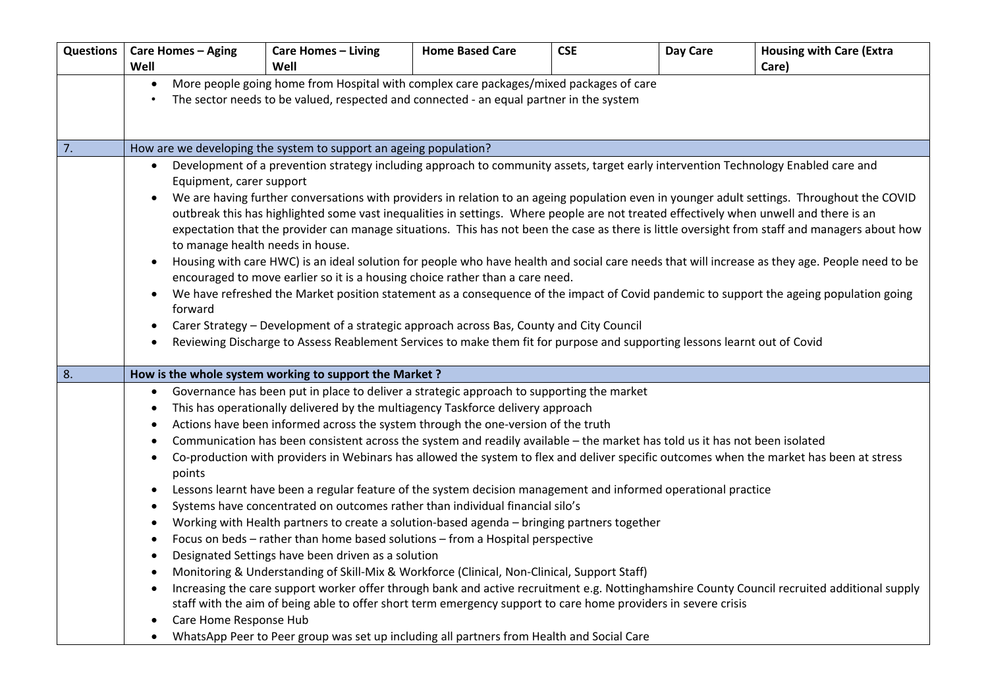| <b>Questions</b> | <b>Care Homes - Aging</b>                                                                                                                                                                                                                                                             | <b>Care Homes - Living</b>                                                                                                         | <b>Home Based Care</b> | <b>CSE</b> | Day Care | <b>Housing with Care (Extra</b>                                                                                                                |  |  |
|------------------|---------------------------------------------------------------------------------------------------------------------------------------------------------------------------------------------------------------------------------------------------------------------------------------|------------------------------------------------------------------------------------------------------------------------------------|------------------------|------------|----------|------------------------------------------------------------------------------------------------------------------------------------------------|--|--|
|                  | Well                                                                                                                                                                                                                                                                                  | Well                                                                                                                               |                        |            |          | Care)                                                                                                                                          |  |  |
|                  | More people going home from Hospital with complex care packages/mixed packages of care<br>$\bullet$                                                                                                                                                                                   |                                                                                                                                    |                        |            |          |                                                                                                                                                |  |  |
|                  | The sector needs to be valued, respected and connected - an equal partner in the system                                                                                                                                                                                               |                                                                                                                                    |                        |            |          |                                                                                                                                                |  |  |
|                  |                                                                                                                                                                                                                                                                                       |                                                                                                                                    |                        |            |          |                                                                                                                                                |  |  |
| 7.               |                                                                                                                                                                                                                                                                                       | How are we developing the system to support an ageing population?                                                                  |                        |            |          |                                                                                                                                                |  |  |
|                  |                                                                                                                                                                                                                                                                                       | Development of a prevention strategy including approach to community assets, target early intervention Technology Enabled care and |                        |            |          |                                                                                                                                                |  |  |
|                  | $\bullet$<br>Equipment, carer support                                                                                                                                                                                                                                                 |                                                                                                                                    |                        |            |          |                                                                                                                                                |  |  |
|                  | $\bullet$                                                                                                                                                                                                                                                                             |                                                                                                                                    |                        |            |          |                                                                                                                                                |  |  |
|                  | We are having further conversations with providers in relation to an ageing population even in younger adult settings. Throughout the COVID<br>outbreak this has highlighted some vast inequalities in settings. Where people are not treated effectively when unwell and there is an |                                                                                                                                    |                        |            |          |                                                                                                                                                |  |  |
|                  | expectation that the provider can manage situations. This has not been the case as there is little oversight from staff and managers about how                                                                                                                                        |                                                                                                                                    |                        |            |          |                                                                                                                                                |  |  |
|                  | to manage health needs in house.                                                                                                                                                                                                                                                      |                                                                                                                                    |                        |            |          |                                                                                                                                                |  |  |
|                  | $\bullet$                                                                                                                                                                                                                                                                             |                                                                                                                                    |                        |            |          | Housing with care HWC) is an ideal solution for people who have health and social care needs that will increase as they age. People need to be |  |  |
|                  |                                                                                                                                                                                                                                                                                       | encouraged to move earlier so it is a housing choice rather than a care need.                                                      |                        |            |          |                                                                                                                                                |  |  |
|                  | We have refreshed the Market position statement as a consequence of the impact of Covid pandemic to support the ageing population going<br>$\bullet$                                                                                                                                  |                                                                                                                                    |                        |            |          |                                                                                                                                                |  |  |
|                  | forward                                                                                                                                                                                                                                                                               |                                                                                                                                    |                        |            |          |                                                                                                                                                |  |  |
|                  | Carer Strategy - Development of a strategic approach across Bas, County and City Council<br>$\bullet$<br>Reviewing Discharge to Assess Reablement Services to make them fit for purpose and supporting lessons learnt out of Covid                                                    |                                                                                                                                    |                        |            |          |                                                                                                                                                |  |  |
|                  |                                                                                                                                                                                                                                                                                       |                                                                                                                                    |                        |            |          |                                                                                                                                                |  |  |
| 8.               |                                                                                                                                                                                                                                                                                       | How is the whole system working to support the Market?                                                                             |                        |            |          |                                                                                                                                                |  |  |
|                  | $\bullet$                                                                                                                                                                                                                                                                             | Governance has been put in place to deliver a strategic approach to supporting the market                                          |                        |            |          |                                                                                                                                                |  |  |
|                  | $\bullet$                                                                                                                                                                                                                                                                             | This has operationally delivered by the multiagency Taskforce delivery approach                                                    |                        |            |          |                                                                                                                                                |  |  |
|                  | $\bullet$                                                                                                                                                                                                                                                                             | Actions have been informed across the system through the one-version of the truth                                                  |                        |            |          |                                                                                                                                                |  |  |
|                  | Communication has been consistent across the system and readily available - the market has told us it has not been isolated<br>$\bullet$                                                                                                                                              |                                                                                                                                    |                        |            |          |                                                                                                                                                |  |  |
|                  | Co-production with providers in Webinars has allowed the system to flex and deliver specific outcomes when the market has been at stress<br>$\bullet$<br>points                                                                                                                       |                                                                                                                                    |                        |            |          |                                                                                                                                                |  |  |
|                  | Lessons learnt have been a regular feature of the system decision management and informed operational practice<br>$\bullet$                                                                                                                                                           |                                                                                                                                    |                        |            |          |                                                                                                                                                |  |  |
|                  | Systems have concentrated on outcomes rather than individual financial silo's<br>$\bullet$                                                                                                                                                                                            |                                                                                                                                    |                        |            |          |                                                                                                                                                |  |  |
|                  | $\bullet$                                                                                                                                                                                                                                                                             | Working with Health partners to create a solution-based agenda - bringing partners together                                        |                        |            |          |                                                                                                                                                |  |  |
|                  | Focus on beds - rather than home based solutions - from a Hospital perspective<br>$\bullet$                                                                                                                                                                                           |                                                                                                                                    |                        |            |          |                                                                                                                                                |  |  |
|                  | $\bullet$                                                                                                                                                                                                                                                                             | Designated Settings have been driven as a solution                                                                                 |                        |            |          |                                                                                                                                                |  |  |
|                  | $\bullet$                                                                                                                                                                                                                                                                             | Monitoring & Understanding of Skill-Mix & Workforce (Clinical, Non-Clinical, Support Staff)                                        |                        |            |          |                                                                                                                                                |  |  |
|                  | $\bullet$                                                                                                                                                                                                                                                                             |                                                                                                                                    |                        |            |          | Increasing the care support worker offer through bank and active recruitment e.g. Nottinghamshire County Council recruited additional supply   |  |  |
|                  |                                                                                                                                                                                                                                                                                       | staff with the aim of being able to offer short term emergency support to care home providers in severe crisis                     |                        |            |          |                                                                                                                                                |  |  |
|                  | Care Home Response Hub                                                                                                                                                                                                                                                                |                                                                                                                                    |                        |            |          |                                                                                                                                                |  |  |
|                  | WhatsApp Peer to Peer group was set up including all partners from Health and Social Care<br>$\bullet$                                                                                                                                                                                |                                                                                                                                    |                        |            |          |                                                                                                                                                |  |  |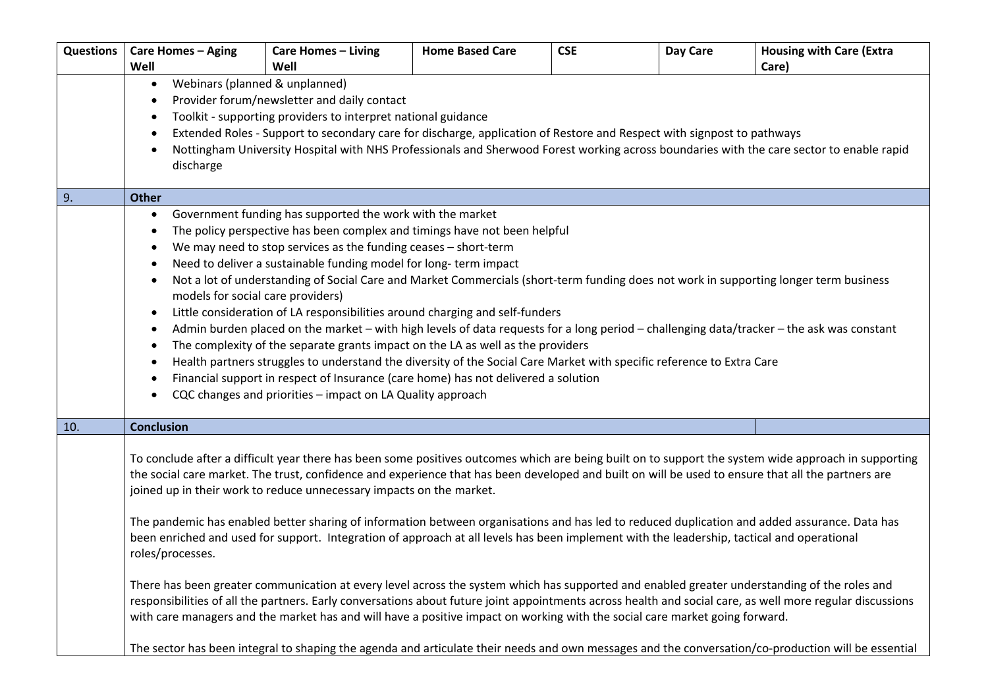| Questions | <b>Care Homes - Aging</b>                                                                                                                                 | <b>Care Homes - Living</b>                                                                                                                         | <b>Home Based Care</b> | <b>CSE</b> | Day Care | <b>Housing with Care (Extra</b>                                                                                                                      |  |  |
|-----------|-----------------------------------------------------------------------------------------------------------------------------------------------------------|----------------------------------------------------------------------------------------------------------------------------------------------------|------------------------|------------|----------|------------------------------------------------------------------------------------------------------------------------------------------------------|--|--|
|           | Well                                                                                                                                                      | Well                                                                                                                                               |                        |            |          | Care)                                                                                                                                                |  |  |
|           | Webinars (planned & unplanned)<br>$\bullet$                                                                                                               |                                                                                                                                                    |                        |            |          |                                                                                                                                                      |  |  |
|           |                                                                                                                                                           | Provider forum/newsletter and daily contact                                                                                                        |                        |            |          |                                                                                                                                                      |  |  |
|           | $\bullet$                                                                                                                                                 | Toolkit - supporting providers to interpret national guidance                                                                                      |                        |            |          |                                                                                                                                                      |  |  |
|           |                                                                                                                                                           | Extended Roles - Support to secondary care for discharge, application of Restore and Respect with signpost to pathways                             |                        |            |          |                                                                                                                                                      |  |  |
|           | Nottingham University Hospital with NHS Professionals and Sherwood Forest working across boundaries with the care sector to enable rapid                  |                                                                                                                                                    |                        |            |          |                                                                                                                                                      |  |  |
|           | discharge                                                                                                                                                 |                                                                                                                                                    |                        |            |          |                                                                                                                                                      |  |  |
| 9.        | <b>Other</b>                                                                                                                                              |                                                                                                                                                    |                        |            |          |                                                                                                                                                      |  |  |
|           | $\bullet$                                                                                                                                                 | Government funding has supported the work with the market                                                                                          |                        |            |          |                                                                                                                                                      |  |  |
|           |                                                                                                                                                           | The policy perspective has been complex and timings have not been helpful                                                                          |                        |            |          |                                                                                                                                                      |  |  |
|           | $\bullet$                                                                                                                                                 | We may need to stop services as the funding ceases - short-term                                                                                    |                        |            |          |                                                                                                                                                      |  |  |
|           | $\bullet$                                                                                                                                                 | Need to deliver a sustainable funding model for long-term impact                                                                                   |                        |            |          |                                                                                                                                                      |  |  |
|           | $\bullet$                                                                                                                                                 | Not a lot of understanding of Social Care and Market Commercials (short-term funding does not work in supporting longer term business              |                        |            |          |                                                                                                                                                      |  |  |
|           | models for social care providers)                                                                                                                         |                                                                                                                                                    |                        |            |          |                                                                                                                                                      |  |  |
|           | Little consideration of LA responsibilities around charging and self-funders<br>$\bullet$                                                                 |                                                                                                                                                    |                        |            |          |                                                                                                                                                      |  |  |
|           | Admin burden placed on the market - with high levels of data requests for a long period - challenging data/tracker - the ask was constant                 |                                                                                                                                                    |                        |            |          |                                                                                                                                                      |  |  |
|           | The complexity of the separate grants impact on the LA as well as the providers<br>$\bullet$                                                              |                                                                                                                                                    |                        |            |          |                                                                                                                                                      |  |  |
|           | Health partners struggles to understand the diversity of the Social Care Market with specific reference to Extra Care                                     |                                                                                                                                                    |                        |            |          |                                                                                                                                                      |  |  |
|           | Financial support in respect of Insurance (care home) has not delivered a solution<br>CQC changes and priorities - impact on LA Quality approach          |                                                                                                                                                    |                        |            |          |                                                                                                                                                      |  |  |
|           |                                                                                                                                                           |                                                                                                                                                    |                        |            |          |                                                                                                                                                      |  |  |
| 10.       | <b>Conclusion</b>                                                                                                                                         |                                                                                                                                                    |                        |            |          |                                                                                                                                                      |  |  |
|           |                                                                                                                                                           |                                                                                                                                                    |                        |            |          |                                                                                                                                                      |  |  |
|           |                                                                                                                                                           |                                                                                                                                                    |                        |            |          | To conclude after a difficult year there has been some positives outcomes which are being built on to support the system wide approach in supporting |  |  |
|           |                                                                                                                                                           | the social care market. The trust, confidence and experience that has been developed and built on will be used to ensure that all the partners are |                        |            |          |                                                                                                                                                      |  |  |
|           |                                                                                                                                                           | joined up in their work to reduce unnecessary impacts on the market.                                                                               |                        |            |          |                                                                                                                                                      |  |  |
|           |                                                                                                                                                           |                                                                                                                                                    |                        |            |          | The pandemic has enabled better sharing of information between organisations and has led to reduced duplication and added assurance. Data has        |  |  |
|           |                                                                                                                                                           | been enriched and used for support. Integration of approach at all levels has been implement with the leadership, tactical and operational         |                        |            |          |                                                                                                                                                      |  |  |
|           | roles/processes.                                                                                                                                          |                                                                                                                                                    |                        |            |          |                                                                                                                                                      |  |  |
|           |                                                                                                                                                           |                                                                                                                                                    |                        |            |          |                                                                                                                                                      |  |  |
|           |                                                                                                                                                           | There has been greater communication at every level across the system which has supported and enabled greater understanding of the roles and       |                        |            |          |                                                                                                                                                      |  |  |
|           | responsibilities of all the partners. Early conversations about future joint appointments across health and social care, as well more regular discussions |                                                                                                                                                    |                        |            |          |                                                                                                                                                      |  |  |
|           |                                                                                                                                                           | with care managers and the market has and will have a positive impact on working with the social care market going forward.                        |                        |            |          |                                                                                                                                                      |  |  |
|           | The sector has been integral to shaping the agenda and articulate their needs and own messages and the conversation/co-production will be essential       |                                                                                                                                                    |                        |            |          |                                                                                                                                                      |  |  |